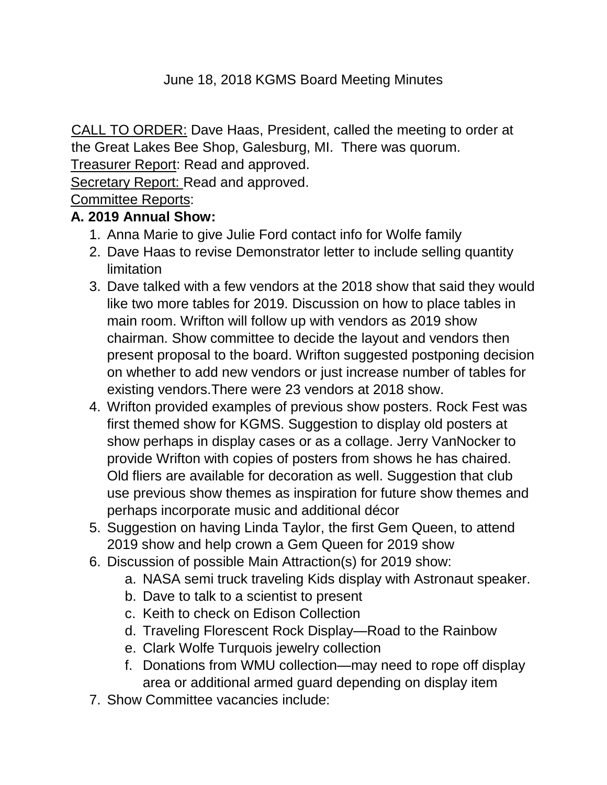#### June 18, 2018 KGMS Board Meeting Minutes

CALL TO ORDER: Dave Haas, President, called the meeting to order at the Great Lakes Bee Shop, Galesburg, MI. There was quorum.

Treasurer Report: Read and approved.

Secretary Report: Read and approved.

Committee Reports:

#### **A. 2019 Annual Show:**

- 1. Anna Marie to give Julie Ford contact info for Wolfe family
- 2. Dave Haas to revise Demonstrator letter to include selling quantity **limitation**
- 3. Dave talked with a few vendors at the 2018 show that said they would like two more tables for 2019. Discussion on how to place tables in main room. Wrifton will follow up with vendors as 2019 show chairman. Show committee to decide the layout and vendors then present proposal to the board. Wrifton suggested postponing decision on whether to add new vendors or just increase number of tables for existing vendors.There were 23 vendors at 2018 show.
- 4. Wrifton provided examples of previous show posters. Rock Fest was first themed show for KGMS. Suggestion to display old posters at show perhaps in display cases or as a collage. Jerry VanNocker to provide Wrifton with copies of posters from shows he has chaired. Old fliers are available for decoration as well. Suggestion that club use previous show themes as inspiration for future show themes and perhaps incorporate music and additional décor
- 5. Suggestion on having Linda Taylor, the first Gem Queen, to attend 2019 show and help crown a Gem Queen for 2019 show
- 6. Discussion of possible Main Attraction(s) for 2019 show:
	- a. NASA semi truck traveling Kids display with Astronaut speaker.
	- b. Dave to talk to a scientist to present
	- c. Keith to check on Edison Collection
	- d. Traveling Florescent Rock Display—Road to the Rainbow
	- e. Clark Wolfe Turquois jewelry collection
	- f. Donations from WMU collection—may need to rope off display area or additional armed guard depending on display item
- 7. Show Committee vacancies include: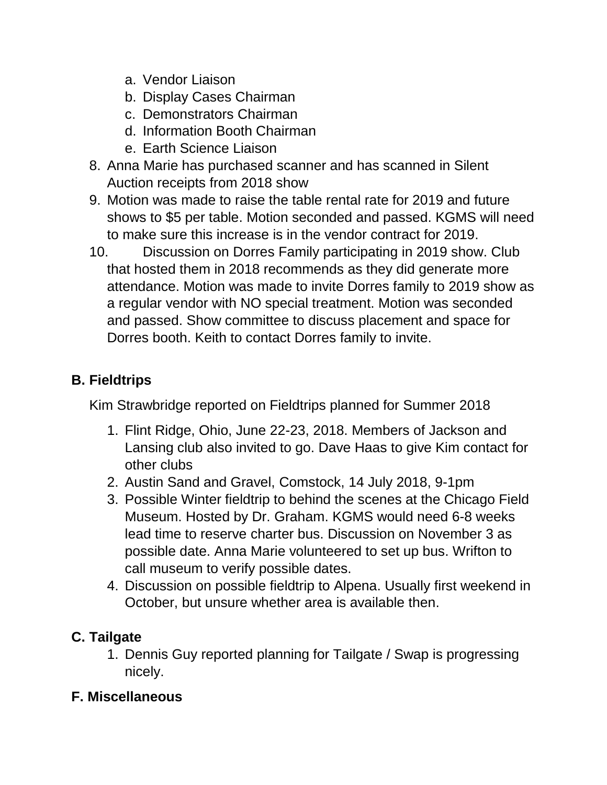- a. Vendor Liaison
- b. Display Cases Chairman
- c. Demonstrators Chairman
- d. Information Booth Chairman
- e. Earth Science Liaison
- 8. Anna Marie has purchased scanner and has scanned in Silent Auction receipts from 2018 show
- 9. Motion was made to raise the table rental rate for 2019 and future shows to \$5 per table. Motion seconded and passed. KGMS will need to make sure this increase is in the vendor contract for 2019.
- 10. Discussion on Dorres Family participating in 2019 show. Club that hosted them in 2018 recommends as they did generate more attendance. Motion was made to invite Dorres family to 2019 show as a regular vendor with NO special treatment. Motion was seconded and passed. Show committee to discuss placement and space for Dorres booth. Keith to contact Dorres family to invite.

# **B. Fieldtrips**

Kim Strawbridge reported on Fieldtrips planned for Summer 2018

- 1. Flint Ridge, Ohio, June 22-23, 2018. Members of Jackson and Lansing club also invited to go. Dave Haas to give Kim contact for other clubs
- 2. Austin Sand and Gravel, Comstock, 14 July 2018, 9-1pm
- 3. Possible Winter fieldtrip to behind the scenes at the Chicago Field Museum. Hosted by Dr. Graham. KGMS would need 6-8 weeks lead time to reserve charter bus. Discussion on November 3 as possible date. Anna Marie volunteered to set up bus. Wrifton to call museum to verify possible dates.
- 4. Discussion on possible fieldtrip to Alpena. Usually first weekend in October, but unsure whether area is available then.

# **C. Tailgate**

1. Dennis Guy reported planning for Tailgate / Swap is progressing nicely.

## **F. Miscellaneous**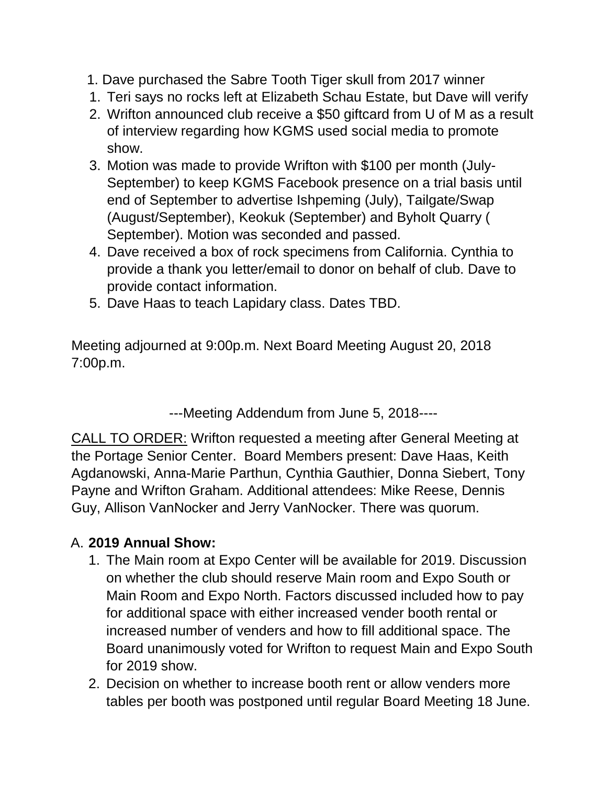- 1. Dave purchased the Sabre Tooth Tiger skull from 2017 winner
- 1. Teri says no rocks left at Elizabeth Schau Estate, but Dave will verify
- 2. Wrifton announced club receive a \$50 giftcard from U of M as a result of interview regarding how KGMS used social media to promote show.
- 3. Motion was made to provide Wrifton with \$100 per month (July-September) to keep KGMS Facebook presence on a trial basis until end of September to advertise Ishpeming (July), Tailgate/Swap (August/September), Keokuk (September) and Byholt Quarry ( September). Motion was seconded and passed.
- 4. Dave received a box of rock specimens from California. Cynthia to provide a thank you letter/email to donor on behalf of club. Dave to provide contact information.
- 5. Dave Haas to teach Lapidary class. Dates TBD.

Meeting adjourned at 9:00p.m. Next Board Meeting August 20, 2018 7:00p.m.

---Meeting Addendum from June 5, 2018----

CALL TO ORDER: Wrifton requested a meeting after General Meeting at the Portage Senior Center. Board Members present: Dave Haas, Keith Agdanowski, Anna-Marie Parthun, Cynthia Gauthier, Donna Siebert, Tony Payne and Wrifton Graham. Additional attendees: Mike Reese, Dennis Guy, Allison VanNocker and Jerry VanNocker. There was quorum.

### A. **2019 Annual Show:**

- 1. The Main room at Expo Center will be available for 2019. Discussion on whether the club should reserve Main room and Expo South or Main Room and Expo North. Factors discussed included how to pay for additional space with either increased vender booth rental or increased number of venders and how to fill additional space. The Board unanimously voted for Wrifton to request Main and Expo South for 2019 show.
- 2. Decision on whether to increase booth rent or allow venders more tables per booth was postponed until regular Board Meeting 18 June.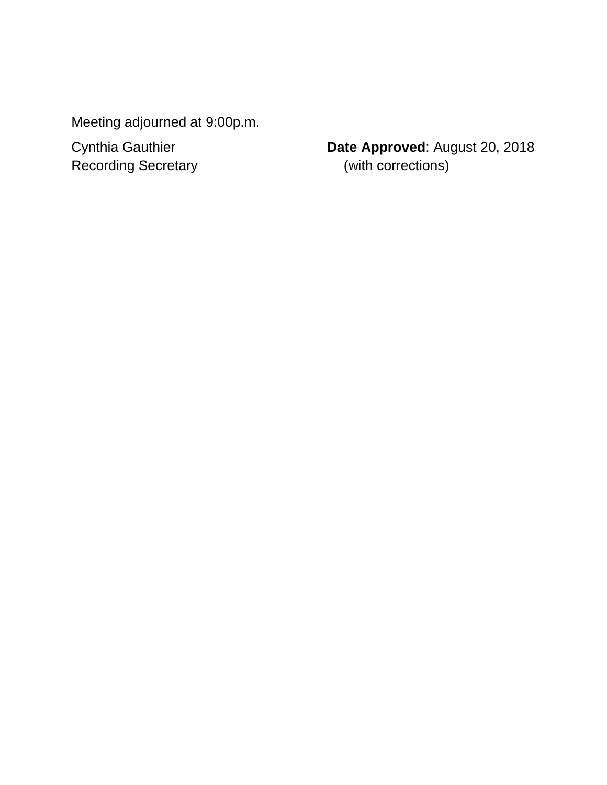Meeting adjourned at 9:00p.m.

Cynthia Gauthier **Date Approved**: August 20, 2018 Recording Secretary **Exercise Contract (2018)** (with corrections)